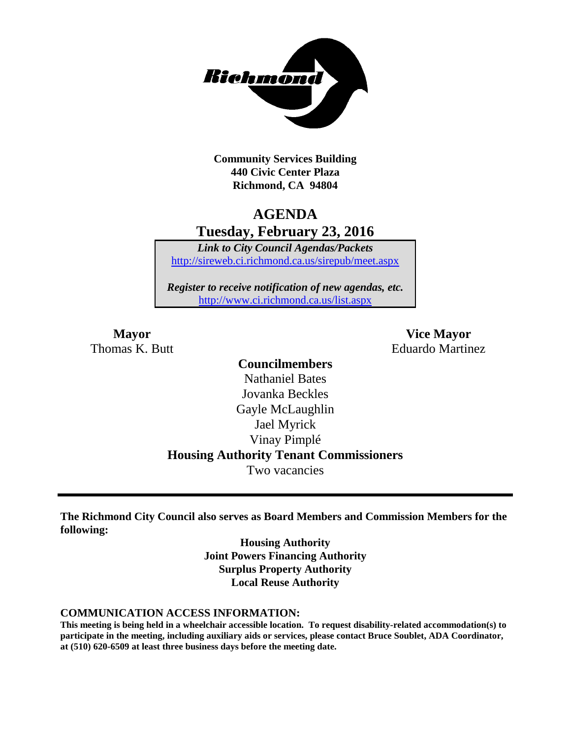

**Community Services Building 440 Civic Center Plaza Richmond, CA 94804**

## **AGENDA Tuesday, February 23, 2016**

*Link to City Council Agendas/Packets* <http://sireweb.ci.richmond.ca.us/sirepub/meet.aspx>

*Register to receive notification of new agendas, etc.* <http://www.ci.richmond.ca.us/list.aspx>

**Mayor Vice Mayor** Thomas K. Butt **Eduardo Martinez** 

### **Councilmembers** Nathaniel Bates Jovanka Beckles Gayle McLaughlin Jael Myrick Vinay Pimplé **Housing Authority Tenant Commissioners** Two vacancies

**The Richmond City Council also serves as Board Members and Commission Members for the following:**

> **Housing Authority Joint Powers Financing Authority Surplus Property Authority Local Reuse Authority**

#### **COMMUNICATION ACCESS INFORMATION:**

**This meeting is being held in a wheelchair accessible location. To request disability-related accommodation(s) to participate in the meeting, including auxiliary aids or services, please contact Bruce Soublet, ADA Coordinator, at (510) 620-6509 at least three business days before the meeting date.**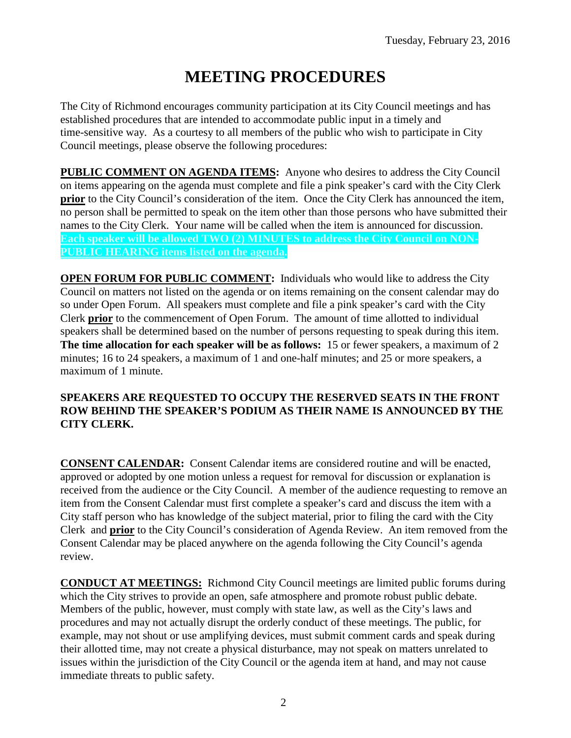# **MEETING PROCEDURES**

The City of Richmond encourages community participation at its City Council meetings and has established procedures that are intended to accommodate public input in a timely and time-sensitive way. As a courtesy to all members of the public who wish to participate in City Council meetings, please observe the following procedures:

**PUBLIC COMMENT ON AGENDA ITEMS:** Anyone who desires to address the City Council on items appearing on the agenda must complete and file a pink speaker's card with the City Clerk **prior** to the City Council's consideration of the item. Once the City Clerk has announced the item, no person shall be permitted to speak on the item other than those persons who have submitted their names to the City Clerk. Your name will be called when the item is announced for discussion. **Each speaker will be allowed TWO (2) MINUTES to address the City Council on NON-PUBLIC HEARING items listed on the agenda.**

**OPEN FORUM FOR PUBLIC COMMENT:** Individuals who would like to address the City Council on matters not listed on the agenda or on items remaining on the consent calendar may do so under Open Forum. All speakers must complete and file a pink speaker's card with the City Clerk **prior** to the commencement of Open Forum. The amount of time allotted to individual speakers shall be determined based on the number of persons requesting to speak during this item. **The time allocation for each speaker will be as follows:** 15 or fewer speakers, a maximum of 2 minutes; 16 to 24 speakers, a maximum of 1 and one-half minutes; and 25 or more speakers, a maximum of 1 minute.

### **SPEAKERS ARE REQUESTED TO OCCUPY THE RESERVED SEATS IN THE FRONT ROW BEHIND THE SPEAKER'S PODIUM AS THEIR NAME IS ANNOUNCED BY THE CITY CLERK.**

**CONSENT CALENDAR:** Consent Calendar items are considered routine and will be enacted, approved or adopted by one motion unless a request for removal for discussion or explanation is received from the audience or the City Council. A member of the audience requesting to remove an item from the Consent Calendar must first complete a speaker's card and discuss the item with a City staff person who has knowledge of the subject material, prior to filing the card with the City Clerk and **prior** to the City Council's consideration of Agenda Review. An item removed from the Consent Calendar may be placed anywhere on the agenda following the City Council's agenda review.

**CONDUCT AT MEETINGS:** Richmond City Council meetings are limited public forums during which the City strives to provide an open, safe atmosphere and promote robust public debate. Members of the public, however, must comply with state law, as well as the City's laws and procedures and may not actually disrupt the orderly conduct of these meetings. The public, for example, may not shout or use amplifying devices, must submit comment cards and speak during their allotted time, may not create a physical disturbance, may not speak on matters unrelated to issues within the jurisdiction of the City Council or the agenda item at hand, and may not cause immediate threats to public safety.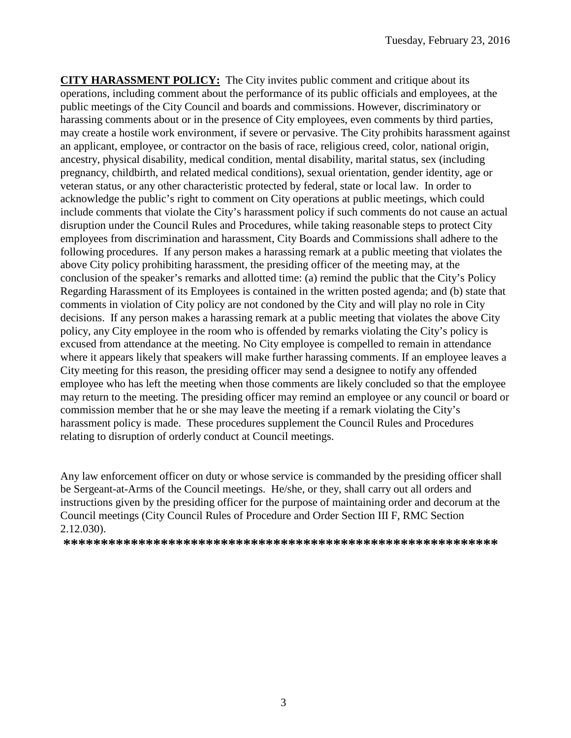**CITY HARASSMENT POLICY:** The City invites public comment and critique about its operations, including comment about the performance of its public officials and employees, at the public meetings of the City Council and boards and commissions. However, discriminatory or harassing comments about or in the presence of City employees, even comments by third parties, may create a hostile work environment, if severe or pervasive. The City prohibits harassment against an applicant, employee, or contractor on the basis of race, religious creed, color, national origin, ancestry, physical disability, medical condition, mental disability, marital status, sex (including pregnancy, childbirth, and related medical conditions), sexual orientation, gender identity, age or veteran status, or any other characteristic protected by federal, state or local law. In order to acknowledge the public's right to comment on City operations at public meetings, which could include comments that violate the City's harassment policy if such comments do not cause an actual disruption under the Council Rules and Procedures, while taking reasonable steps to protect City employees from discrimination and harassment, City Boards and Commissions shall adhere to the following procedures. If any person makes a harassing remark at a public meeting that violates the above City policy prohibiting harassment, the presiding officer of the meeting may, at the conclusion of the speaker's remarks and allotted time: (a) remind the public that the City's Policy Regarding Harassment of its Employees is contained in the written posted agenda; and (b) state that comments in violation of City policy are not condoned by the City and will play no role in City decisions. If any person makes a harassing remark at a public meeting that violates the above City policy, any City employee in the room who is offended by remarks violating the City's policy is excused from attendance at the meeting. No City employee is compelled to remain in attendance where it appears likely that speakers will make further harassing comments. If an employee leaves a City meeting for this reason, the presiding officer may send a designee to notify any offended employee who has left the meeting when those comments are likely concluded so that the employee may return to the meeting. The presiding officer may remind an employee or any council or board or commission member that he or she may leave the meeting if a remark violating the City's harassment policy is made. These procedures supplement the Council Rules and Procedures relating to disruption of orderly conduct at Council meetings.

Any law enforcement officer on duty or whose service is commanded by the presiding officer shall be Sergeant-at-Arms of the Council meetings. He/she, or they, shall carry out all orders and instructions given by the presiding officer for the purpose of maintaining order and decorum at the Council meetings (City Council Rules of Procedure and Order Section III F, RMC Section 2.12.030).

**\*\*\*\*\*\*\*\*\*\*\*\*\*\*\*\*\*\*\*\*\*\*\*\*\*\*\*\*\*\*\*\*\*\*\*\*\*\*\*\*\*\*\*\*\*\*\*\*\*\*\*\*\*\*\*\*\*\***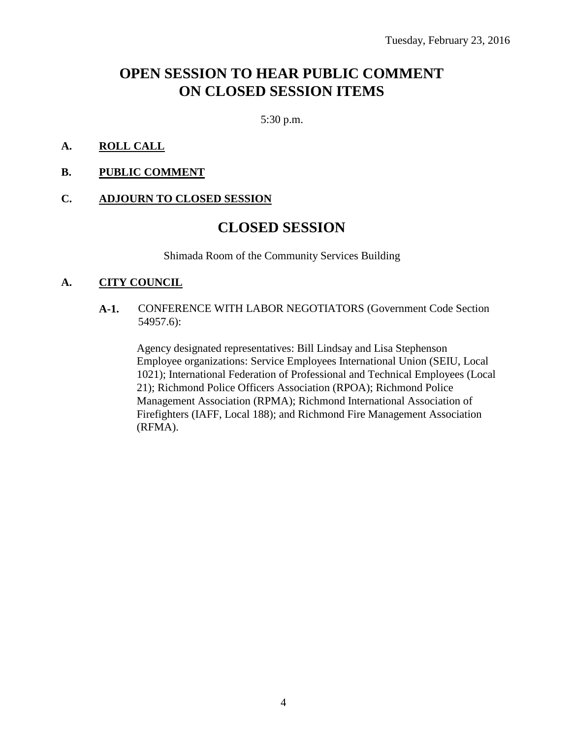## **OPEN SESSION TO HEAR PUBLIC COMMENT ON CLOSED SESSION ITEMS**

5:30 p.m.

### **A. ROLL CALL**

**B. PUBLIC COMMENT**

#### **C. ADJOURN TO CLOSED SESSION**

### **CLOSED SESSION**

Shimada Room of the Community Services Building

### **A. CITY COUNCIL**

**A-1.** CONFERENCE WITH LABOR NEGOTIATORS (Government Code Section 54957.6):

Agency designated representatives: Bill Lindsay and Lisa Stephenson Employee organizations: Service Employees International Union (SEIU, Local 1021); International Federation of Professional and Technical Employees (Local 21); Richmond Police Officers Association (RPOA); Richmond Police Management Association (RPMA); Richmond International Association of Firefighters (IAFF, Local 188); and Richmond Fire Management Association (RFMA).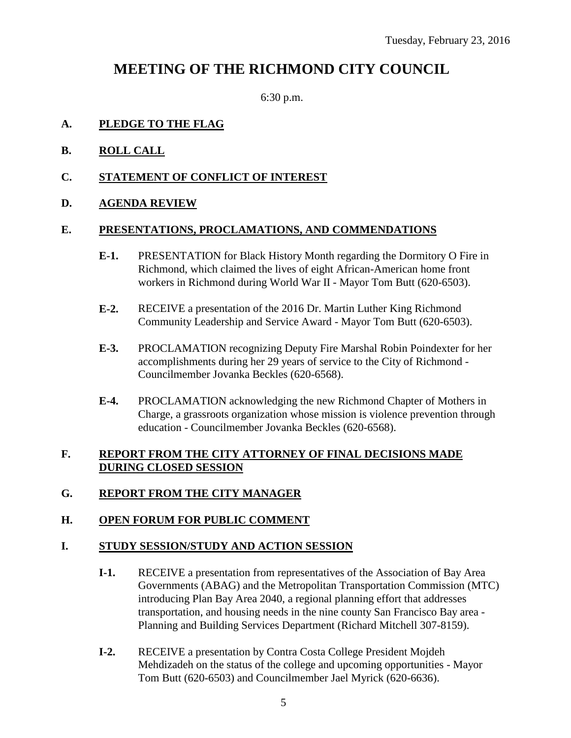### **MEETING OF THE RICHMOND CITY COUNCIL**

6:30 p.m.

#### **A. PLEDGE TO THE FLAG**

- **B. ROLL CALL**
- **C. STATEMENT OF CONFLICT OF INTEREST**
- **D. AGENDA REVIEW**

#### **E. PRESENTATIONS, PROCLAMATIONS, AND COMMENDATIONS**

- **E-1.** PRESENTATION for Black History Month regarding the Dormitory O Fire in Richmond, which claimed the lives of eight African-American home front workers in Richmond during World War II - Mayor Tom Butt (620-6503).
- **E-2.** RECEIVE a presentation of the 2016 Dr. Martin Luther King Richmond Community Leadership and Service Award - Mayor Tom Butt (620-6503).
- **E-3.** PROCLAMATION recognizing Deputy Fire Marshal Robin Poindexter for her accomplishments during her 29 years of service to the City of Richmond - Councilmember Jovanka Beckles (620-6568).
- **E-4.** PROCLAMATION acknowledging the new Richmond Chapter of Mothers in Charge, a grassroots organization whose mission is violence prevention through education - Councilmember Jovanka Beckles (620-6568).

### **F. REPORT FROM THE CITY ATTORNEY OF FINAL DECISIONS MADE DURING CLOSED SESSION**

### **G. REPORT FROM THE CITY MANAGER**

### **H. OPEN FORUM FOR PUBLIC COMMENT**

### **I. STUDY SESSION/STUDY AND ACTION SESSION**

- **I-1.** RECEIVE a presentation from representatives of the Association of Bay Area Governments (ABAG) and the Metropolitan Transportation Commission (MTC) introducing Plan Bay Area 2040, a regional planning effort that addresses transportation, and housing needs in the nine county San Francisco Bay area - Planning and Building Services Department (Richard Mitchell 307-8159).
- **I-2.** RECEIVE a presentation by Contra Costa College President Mojdeh Mehdizadeh on the status of the college and upcoming opportunities - Mayor Tom Butt (620-6503) and Councilmember Jael Myrick (620-6636).